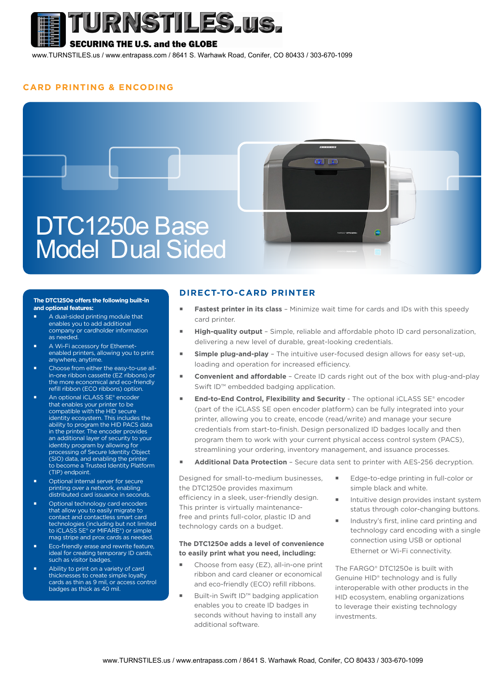

## **SECURING THE U.S. and the GLOBE**

www.TURNSTILES.us / www.entrapass.com / 8641 S. Warhawk Road, Conifer, CO 80433 / 303-670-1099

#### **CARD PRINTING & ENCODING**



#### **The DTC1250e offers the following built-in and optional features:**

- A dual-sided printing module that enables you to add additional company or cardholder information as needed.
- A Wi-Fi accessory for Ethernetenabled printers, allowing you to print anywhere, anytime.
- Choose from either the easy-to-use allin-one ribbon cassette (EZ ribbons) or the more economical and eco-friendly refill ribbon (ECO ribbons) option.
- An optional iCLASS SE® encoder that enables your printer to be compatible with the HID secure identity ecosystem. This includes the ability to program the HID PACS data in the printer. The encoder provides an additional layer of security to your identity program by allowing for processing of Secure Identity Object (SIO) data, and enabling the printer to become a Trusted Identity Platform (TIP) endpoint.
- Optional internal server for secure printing over a network, enabling distributed card issuance in seconds.
- Optional technology card encoders that allow you to easily migrate to contact and contactless smart card technologies (including but not limited to iCLASS SE® or MIFARE®) or simple mag stripe and prox cards as needed.
- Eco-friendly erase and rewrite feature, ideal for creating temporary ID cards, such as visitor badges.
- Ability to print on a variety of card thicknesses to create simple loyalty cards as thin as 9 mil, or access control badges as thick as 40 mil.

### **DIRECT-TO-CARD PRINTER**

- **Fastest printer in its class** Minimize wait time for cards and IDs with this speedy card printer.
- **High-quality output** Simple, reliable and affordable photo ID card personalization, delivering a new level of durable, great-looking credentials.
- **Simple plug-and-play** The intuitive user-focused design allows for easy set-up, loading and operation for increased efficiency.
- **Convenient and affordable** Create ID cards right out of the box with plug-and-play Swift ID™ embedded badging application.
- **End-to-End Control, Flexibility and Security** The optional iCLASS SE® encoder (part of the iCLASS SE open encoder platform) can be fully integrated into your printer, allowing you to create, encode (read/write) and manage your secure credentials from start-to-finish. Design personalized ID badges locally and then program them to work with your current physical access control system (PACS), streamlining your ordering, inventory management, and issuance processes.
- **Additional Data Protection**  Secure data sent to printer with AES-256 decryption.

Designed for small-to-medium businesses, the DTC1250e provides maximum efficiency in a sleek, user-friendly design. This printer is virtually maintenancefree and prints full-color, plastic ID and technology cards on a budget.

#### **The DTC1250e adds a level of convenience to easily print what you need, including:**

- Choose from easy (EZ), all-in-one print ribbon and card cleaner or economical and eco-friendly (ECO) refill ribbons.
- Built-in Swift ID<sup>™</sup> badging application enables you to create ID badges in seconds without having to install any additional software.
- **Edge-to-edge printing in full-color or** simple black and white.
- Intuitive design provides instant system status through color-changing buttons.
- Industry's first, inline card printing and technology card encoding with a single connection using USB or optional Ethernet or Wi-Fi connectivity.

The FARGO® DTC1250e is built with Genuine HID® technology and is fully interoperable with other products in the HID ecosystem, enabling organizations to leverage their existing technology investments.